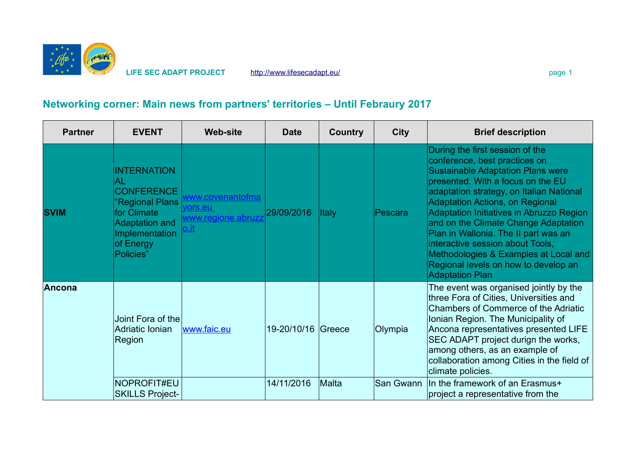

**LIFE SEC ADAPT PROJECT** <http://www.lifesecadapt.eu/>page 1 page 1

## **Networking corner: Main news from partners' territories – Until Febraury 2017**

| <b>Partner</b> | <b>EVENT</b>                                                                                                                                         | <b>Web-site</b>                                           | Date               | <b>Country</b> | <b>City</b> | <b>Brief description</b>                                                                                                                                                                                                                                                                                                                                                                                                                                                                                    |
|----------------|------------------------------------------------------------------------------------------------------------------------------------------------------|-----------------------------------------------------------|--------------------|----------------|-------------|-------------------------------------------------------------------------------------------------------------------------------------------------------------------------------------------------------------------------------------------------------------------------------------------------------------------------------------------------------------------------------------------------------------------------------------------------------------------------------------------------------------|
| <b>SVIM</b>    | <b>INTERNATION</b><br>AL<br><b>CONFERENCE</b><br>'Regional Plans<br>for Climate<br><b>Adaptation and</b><br>Implementation<br>of Energy<br>Policies" | www.covenantofma<br>vors.eu<br>www.regione.abruzz<br>o.it | 29/09/2016         | <b>Italy</b>   | Pescara     | During the first session of the<br>conference, best practices on<br><b>Sustainable Adaptation Plans were</b><br>presented. With a focus on the EU<br>adaptation strategy, on Italian National<br>Adaptation Actions, on Regional<br>Adaptation Initiatives in Abruzzo Region<br>and on the Climate Change Adaptation<br>Plan in Wallonia. The II part was an<br>interactive session about Tools,<br>Methodologies & Examples at Local and<br>Regional levels on how to develop an<br><b>Adaptation Plan</b> |
| Ancona         | Joint Fora of the<br>Adriatic Ionian<br>Region                                                                                                       | www.faic.eu                                               | 19-20/10/16 Greece |                | Olympia     | The event was organised jointly by the<br>three Fora of Cities, Universities and<br>Chambers of Commerce of the Adriatic<br>Ionian Region. The Municipality of<br>Ancona representatives presented LIFE<br>SEC ADAPT project durign the works,<br>among others, as an example of<br>collaboration among Cities in the field of<br>climate policies.                                                                                                                                                         |
|                | NOPROFIT#EU<br><b>SKILLS Project-</b>                                                                                                                |                                                           | 14/11/2016         | Malta          | San Gwann   | In the framework of an Erasmus+<br>project a representative from the                                                                                                                                                                                                                                                                                                                                                                                                                                        |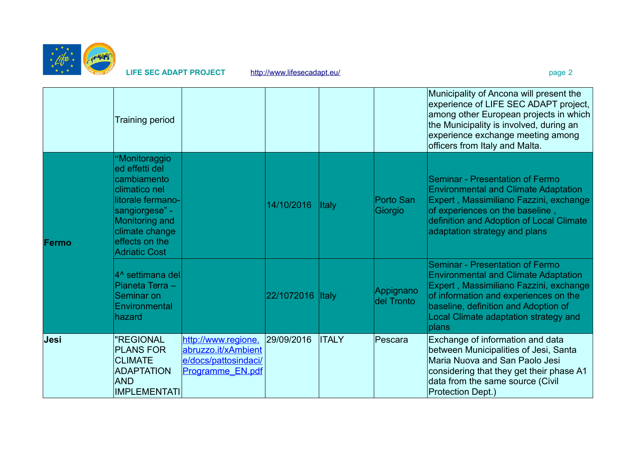

**LIFE SEC ADAPT PROJECT** <http://www.lifesecadapt.eu/>page 2

|       | <b>Training period</b>                                                                                                                                                               |                                                                                        |                  |              |                         | Municipality of Ancona will present the<br>experience of LIFE SEC ADAPT project,<br>among other European projects in which<br>the Municipality is involved, during an<br>experience exchange meeting among<br>officers from Italy and Malta.                |
|-------|--------------------------------------------------------------------------------------------------------------------------------------------------------------------------------------|----------------------------------------------------------------------------------------|------------------|--------------|-------------------------|-------------------------------------------------------------------------------------------------------------------------------------------------------------------------------------------------------------------------------------------------------------|
| Fermo | "Monitoraggio<br>ed effetti del<br>cambiamento<br>climatico nel<br>litorale fermano-<br>sangiorgese" -<br>Monitoring and<br>climate change<br>effects on the<br><b>Adriatic Cost</b> |                                                                                        | 14/10/2016       | Italy        | Porto San<br>Giorgio    | Seminar - Presentation of Fermo<br><b>Environmental and Climate Adaptation</b><br>Expert, Massimiliano Fazzini, exchange<br>of experiences on the baseline,<br>definition and Adoption of Local Climate<br>adaptation strategy and plans                    |
|       | 4^ settimana del<br>Pianeta Terra -<br>Seminar on<br>Environmental<br>hazard                                                                                                         |                                                                                        | 22/1072016 Italy |              | Appignano<br>del Tronto | Seminar - Presentation of Fermo<br><b>Environmental and Climate Adaptation</b><br>Expert, Massimiliano Fazzini, exchange<br>of information and experiences on the<br>baseline, definition and Adoption of<br>Local Climate adaptation strategy and<br>plans |
| Jesi  | "REGIONAL<br><b>PLANS FOR</b><br><b>CLIMATE</b><br><b>ADAPTATION</b><br><b>AND</b><br><b>IMPLEMENTATI</b>                                                                            | http://www.regione.<br>abruzzo.it/xAmbient<br>e/docs/pattosindaci/<br>Programme EN.pdf | 29/09/2016       | <b>ITALY</b> | Pescara                 | Exchange of information and data<br>between Municipalities of Jesi, Santa<br>Maria Nuova and San Paolo Jesi<br>considering that they get their phase A1<br>data from the same source (Civil<br><b>Protection Dept.)</b>                                     |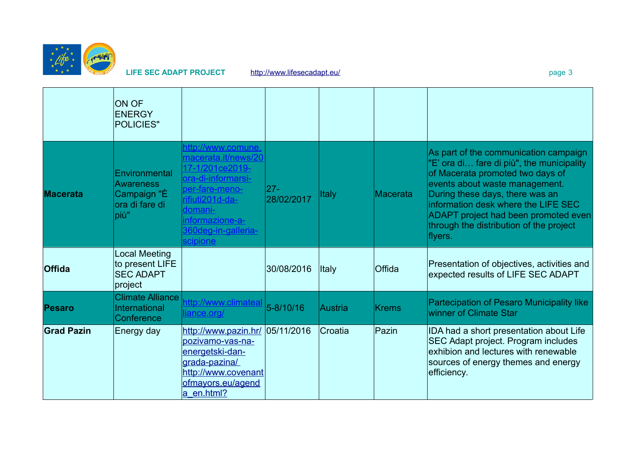

LIFE SEC ADAPT PROJECT <http://www.lifesecadapt.eu/>page 3

|                   | <b>ON OF</b><br><b>ENERGY</b><br><b>POLICIES"</b>                           |                                                                                                                                                                                          |                      |              |                 |                                                                                                                                                                                                                                                                                                                                  |
|-------------------|-----------------------------------------------------------------------------|------------------------------------------------------------------------------------------------------------------------------------------------------------------------------------------|----------------------|--------------|-----------------|----------------------------------------------------------------------------------------------------------------------------------------------------------------------------------------------------------------------------------------------------------------------------------------------------------------------------------|
| <b>Macerata</b>   | Environmental<br><b>Awareness</b><br>Campaign "È<br>lora di fare di<br>più" | http://www.comune.<br>macerata.it/news/20<br>17-1/201ce2019-<br>ora-di-informarsi-<br>per-fare-meno-<br>rifiuti201d-da-<br>domani-<br>informazione-a-<br>360deg-in-galleria-<br>scipione | $27 -$<br>28/02/2017 | <b>Italy</b> | <b>Macerata</b> | As part of the communication campaign<br>"E' ora di fare di più", the municipality<br>of Macerata promoted two days of<br>events about waste management.<br>During these days, there was an<br>information desk where the LIFE SEC<br>ADAPT project had been promoted even<br>through the distribution of the project<br>flyers. |
| <b>Offida</b>     | <b>Local Meeting</b><br>to present LIFE<br><b>SEC ADAPT</b><br>project      |                                                                                                                                                                                          | 30/08/2016           | Italy        | Offida          | Presentation of objectives, activities and<br>expected results of LIFE SEC ADAPT                                                                                                                                                                                                                                                 |
| Pesaro            | <b>Climate Alliance</b><br>International<br>Conference                      | http://www.climateal<br>liance.org/                                                                                                                                                      | $5 - 8/10/16$        | Austria      | <b>Krems</b>    | <b>Partecipation of Pesaro Municipality like</b><br>winner of Climate Star                                                                                                                                                                                                                                                       |
| <b>Grad Pazin</b> | Energy day                                                                  | http://www.pazin.hr/<br>pozivamo-vas-na-<br>energetski-dan-<br>grada-pazina/<br>http://www.covenant<br>ofmayors.eu/agend<br>$a$ en.html?                                                 | 05/11/2016           | Croatia      | Pazin           | IDA had a short presentation about Life<br>SEC Adapt project. Program includes<br>exhibion and lectures with renewable<br>sources of energy themes and energy<br>efficiency.                                                                                                                                                     |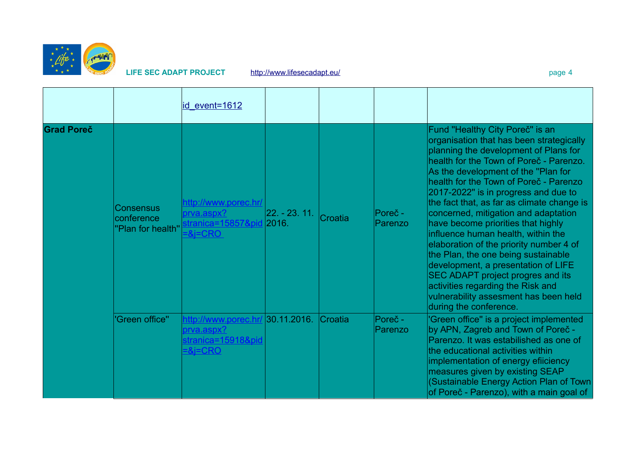

## LIFE SEC ADAPT PROJECT http://www.lifesecadapt.eu/

|                   |                                              | id event=1612                                                                                      |                  |         |                    |                                                                                                                                                                                                                                                                                                                                                                                                                                                                                                                                                                                                                                                                                                                                  |
|-------------------|----------------------------------------------|----------------------------------------------------------------------------------------------------|------------------|---------|--------------------|----------------------------------------------------------------------------------------------------------------------------------------------------------------------------------------------------------------------------------------------------------------------------------------------------------------------------------------------------------------------------------------------------------------------------------------------------------------------------------------------------------------------------------------------------------------------------------------------------------------------------------------------------------------------------------------------------------------------------------|
| <b>Grad Poreč</b> | Consensus<br>conference<br>"Plan for health" | http://www.porec.hr/<br><u>prva.aspx?</u><br><u>stranica=15857&amp;pid</u> 2016.<br>$=8$ j $=$ CRO | $ 22. - 23. 11.$ | Croatia | Poreč -<br>Parenzo | Fund "Healthy City Poreč" is an<br>organisation that has been strategically<br>planning the development of Plans for<br>health for the Town of Poreč - Parenzo.<br>As the development of the "Plan for<br>health for the Town of Poreč - Parenzo<br>2017-2022" is in progress and due to<br>the fact that, as far as climate change is<br>concerned, mitigation and adaptation<br>have become priorities that highly<br>influence human health, within the<br>elaboration of the priority number 4 of<br>the Plan, the one being sustainable<br>development, a presentation of LIFE<br>SEC ADAPT project progres and its<br>activities regarding the Risk and<br>vulnerability assesment has been held<br>during the conference. |
|                   | 'Green office"                               | <u>prva.aspx?</u><br>stranica=15918&pid<br>$=$ &i $=$ CRO                                          |                  | Croatia | Poreč -<br>Parenzo | 'Green office" is a project implemented<br>by APN, Zagreb and Town of Poreč -<br>Parenzo. It was estabilished as one of<br>the educational activities within<br>implementation of energy efiiciency<br>measures given by existing SEAP<br>(Sustainable Energy Action Plan of Town<br>of Poreč - Parenzo), with a main goal of                                                                                                                                                                                                                                                                                                                                                                                                    |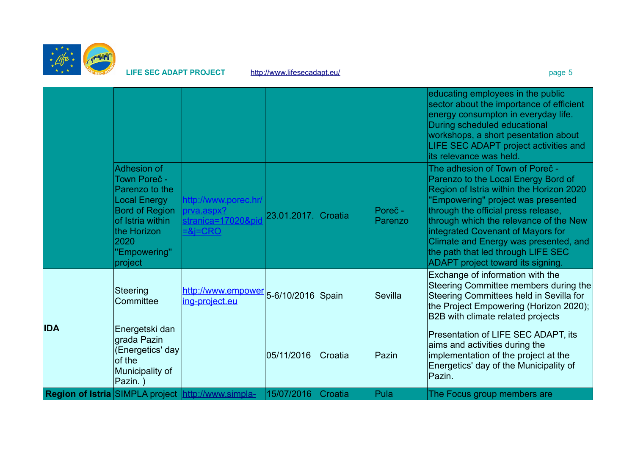

LIFE SEC ADAPT PROJECT <http://www.lifesecadapt.eu/>page 5

|            |                                                                                                                                                                     |                                                                                 |                     |         |                    | educating employees in the public<br>sector about the importance of efficient<br>energy consumpton in everyday life.<br>During scheduled educational<br>workshops, a short pesentation about<br>LIFE SEC ADAPT project activities and<br>its relevance was held.                                                                                                                                   |
|------------|---------------------------------------------------------------------------------------------------------------------------------------------------------------------|---------------------------------------------------------------------------------|---------------------|---------|--------------------|----------------------------------------------------------------------------------------------------------------------------------------------------------------------------------------------------------------------------------------------------------------------------------------------------------------------------------------------------------------------------------------------------|
|            | Adhesion of<br>Town Poreč -<br>Parenzo to the<br><b>Local Energy</b><br><b>Bord of Region</b><br>of Istria within<br>the Horizon<br>2020<br>"Empowering"<br>project | http://www.porec.hr/<br>prva.aspx?<br>stranica=17020&pid<br><u> =&amp;j=CRO</u> | 23.01.2017. Croatia |         | Poreč -<br>Parenzo | The adhesion of Town of Poreč -<br>Parenzo to the Local Energy Bord of<br>Region of Istria within the Horizon 2020<br>"Empowering" project was presented<br>through the official press release,<br>through which the relevance of the New<br>integrated Covenant of Mayors for<br>Climate and Energy was presented, and<br>the path that led through LIFE SEC<br>ADAPT project toward its signing. |
|            | Steering<br>Committee                                                                                                                                               | http://www.empower 5-6/10/2016 Spain<br>ing-project.eu                          |                     |         | Sevilla            | Exchange of information with the<br>Steering Committee members during the<br>Steering Committees held in Sevilla for<br>the Project Empowering (Horizon 2020);<br>B2B with climate related projects                                                                                                                                                                                                |
| <b>IDA</b> | Energetski dan<br>grada Pazin<br>(Energetics' day<br>of the<br>Municipality of<br>Pazin.)                                                                           |                                                                                 | 05/11/2016          | Croatia | Pazin              | Presentation of LIFE SEC ADAPT, its<br>aims and activities during the<br>implementation of the project at the<br>Energetics' day of the Municipality of<br>Pazin.                                                                                                                                                                                                                                  |
|            |                                                                                                                                                                     | <b>Region of Istria SIMPLA project http://www.simpla-</b>                       | 15/07/2016          | Croatia | Pula               | The Focus group members are                                                                                                                                                                                                                                                                                                                                                                        |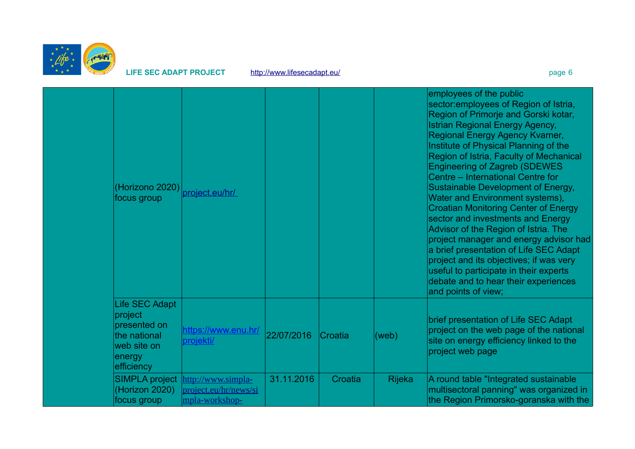

LIFE SEC ADAPT PROJECT <http://www.lifesecadapt.eu/>page 6 page 6

| (Horizono 2020)<br>focus group                                                                   | project.eu/hr/                                                |            |         |               | employees of the public<br>sector: employees of Region of Istria,<br>Region of Primorje and Gorski kotar,<br><b>Istrian Regional Energy Agency,</b><br>Regional Energy Agency Kvarner,<br>Institute of Physical Planning of the<br>Region of Istria, Faculty of Mechanical<br><b>Engineering of Zagreb (SDEWES)</b><br>Centre – International Centre for<br>Sustainable Development of Energy,<br>Water and Environment systems),<br><b>Croatian Monitoring Center of Energy</b><br>sector and investments and Energy<br>Advisor of the Region of Istria. The<br>project manager and energy advisor had<br>a brief presentation of Life SEC Adapt<br>project and its objectives; if was very<br>useful to participate in their experts<br>debate and to hear their experiences<br>and points of view; |
|--------------------------------------------------------------------------------------------------|---------------------------------------------------------------|------------|---------|---------------|-------------------------------------------------------------------------------------------------------------------------------------------------------------------------------------------------------------------------------------------------------------------------------------------------------------------------------------------------------------------------------------------------------------------------------------------------------------------------------------------------------------------------------------------------------------------------------------------------------------------------------------------------------------------------------------------------------------------------------------------------------------------------------------------------------|
| Life SEC Adapt<br>project<br>presented on<br>the national<br>web site on<br>energy<br>efficiency | https://www.enu.hr/<br>projekti/                              | 22/07/2016 | Croatia | (web)         | brief presentation of Life SEC Adapt<br>project on the web page of the national<br>site on energy efficiency linked to the<br>project web page                                                                                                                                                                                                                                                                                                                                                                                                                                                                                                                                                                                                                                                        |
| <b>SIMPLA project</b><br>(Horizon 2020)<br>focus group                                           | http://www.simpla-<br>project.eu/hr/news/si<br>mpla-workshop- | 31.11.2016 | Croatia | <b>Rijeka</b> | A round table "Integrated sustainable<br>multisectoral panning" was organized in<br>the Region Primorsko-goranska with the                                                                                                                                                                                                                                                                                                                                                                                                                                                                                                                                                                                                                                                                            |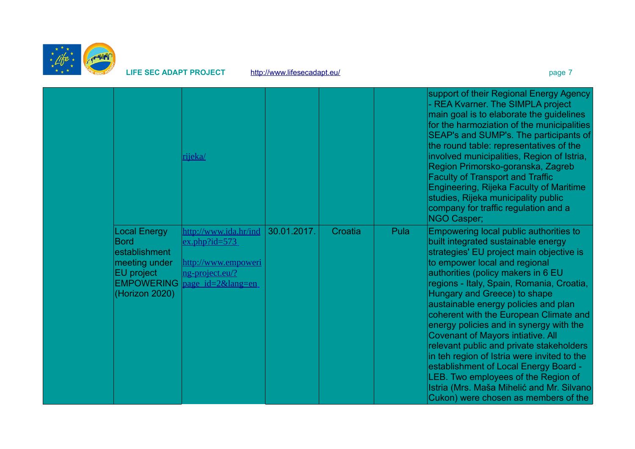

LIFE SEC ADAPT PROJECT <http://www.lifesecadapt.eu/>page 7

|                                                                                                                           | rijeka/                                                                                             |             |         |      | support of their Regional Energy Agency<br>- REA Kvarner. The SIMPLA project<br>main goal is to elaborate the guidelines<br>for the harmoziation of the municipalities<br>SEAP's and SUMP's. The participants of<br>the round table: representatives of the<br>involved municipalities, Region of Istria,<br>Region Primorsko-goranska, Zagreb<br><b>Faculty of Transport and Traffic</b><br>Engineering, Rijeka Faculty of Maritime<br>studies, Rijeka municipality public<br>company for traffic regulation and a<br>NGO Casper;                                                                                                                                                                                     |
|---------------------------------------------------------------------------------------------------------------------------|-----------------------------------------------------------------------------------------------------|-------------|---------|------|------------------------------------------------------------------------------------------------------------------------------------------------------------------------------------------------------------------------------------------------------------------------------------------------------------------------------------------------------------------------------------------------------------------------------------------------------------------------------------------------------------------------------------------------------------------------------------------------------------------------------------------------------------------------------------------------------------------------|
| Local Energy<br><b>Bord</b><br>establishment<br>meeting under<br><b>EU</b> project<br><b>EMPOWERING</b><br>(Horizon 2020) | http://www.ida.hr/ind<br>$ex.php?id=573$<br>http://www.empoweri<br>ng-project.eu/?<br>page id=2⟨=en | 30.01.2017. | Croatia | Pula | Empowering local public authorities to<br>built integrated sustainable energy<br>strategies' EU project main objective is<br>to empower local and regional<br>authorities (policy makers in 6 EU<br>regions - Italy, Spain, Romania, Croatia,<br>Hungary and Greece) to shape<br>austainable energy policies and plan<br>coherent with the European Climate and<br>energy policies and in synergy with the<br><b>Covenant of Mayors intiative. All</b><br>relevant public and private stakeholders<br>in teh region of Istria were invited to the<br>establishment of Local Energy Board -<br>LEB. Two employees of the Region of<br>Istria (Mrs. Maša Mihelić and Mr. Silvano<br>Cukon) were chosen as members of the |